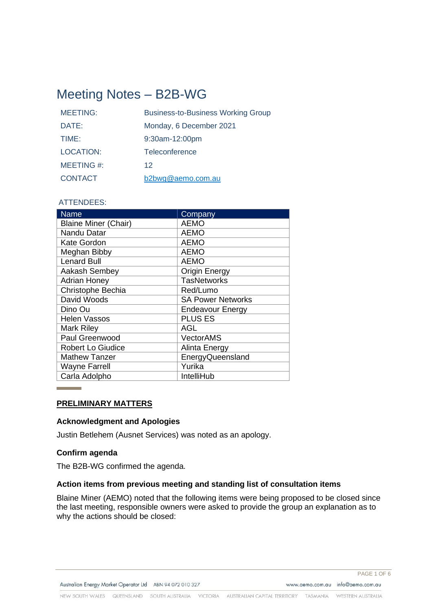# Meeting Notes – B2B-WG

| <b>MEETING:</b>  | <b>Business-to-Business Working Group</b> |
|------------------|-------------------------------------------|
| DATE:            | Monday, 6 December 2021                   |
| TIME:            | 9:30am-12:00pm                            |
| <b>LOCATION:</b> | Teleconference                            |
| MEETING #:       | 12                                        |
| <b>CONTACT</b>   | b2bwg@aemo.com.au                         |

# ATTENDEES:

| <b>Name</b>                 | Company                  |
|-----------------------------|--------------------------|
| <b>Blaine Miner (Chair)</b> | <b>AEMO</b>              |
| Nandu Datar                 | <b>AEMO</b>              |
| <b>Kate Gordon</b>          | <b>AEMO</b>              |
| Meghan Bibby                | <b>AEMO</b>              |
| <b>Lenard Bull</b>          | <b>AEMO</b>              |
| Aakash Sembey               | <b>Origin Energy</b>     |
| <b>Adrian Honey</b>         | <b>TasNetworks</b>       |
| Christophe Bechia           | Red/Lumo                 |
| David Woods                 | <b>SA Power Networks</b> |
| Dino Ou                     | <b>Endeavour Energy</b>  |
| <b>Helen Vassos</b>         | <b>PLUS ES</b>           |
| <b>Mark Riley</b>           | AGL                      |
| Paul Greenwood              | <b>VectorAMS</b>         |
| <b>Robert Lo Giudice</b>    | Alinta Energy            |
| <b>Mathew Tanzer</b>        | EnergyQueensland         |
| <b>Wayne Farrell</b>        | Yurika                   |
| Carla Adolpho               | IntelliHub               |

#### **PRELIMINARY MATTERS**

#### **Acknowledgment and Apologies**

Justin Betlehem (Ausnet Services) was noted as an apology.

#### **Confirm agenda**

The B2B-WG confirmed the agenda.

### **Action items from previous meeting and standing list of consultation items**

Blaine Miner (AEMO) noted that the following items were being proposed to be closed since the last meeting, responsible owners were asked to provide the group an explanation as to why the actions should be closed: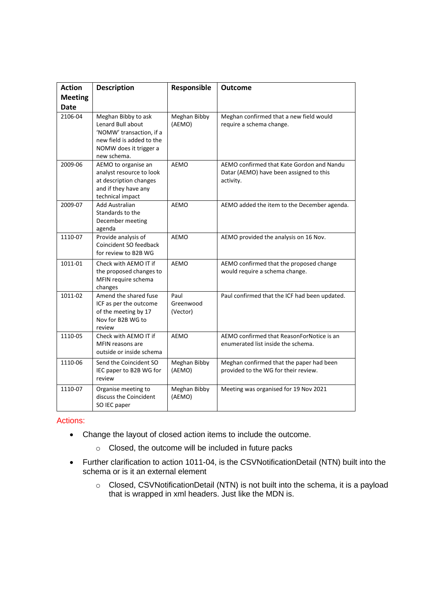| <b>Action</b><br><b>Meeting</b><br><b>Date</b> | <b>Description</b>                                                                                                                         | Responsible                   | <b>Outcome</b>                                                                                    |
|------------------------------------------------|--------------------------------------------------------------------------------------------------------------------------------------------|-------------------------------|---------------------------------------------------------------------------------------------------|
| 2106-04                                        | Meghan Bibby to ask<br>Lenard Bull about<br>'NOMW' transaction, if a<br>new field is added to the<br>NOMW does it trigger a<br>new schema. | Meghan Bibby<br>(AEMO)        | Meghan confirmed that a new field would<br>require a schema change.                               |
| 2009-06                                        | AEMO to organise an<br>analyst resource to look<br>at description changes<br>and if they have any<br>technical impact                      | AEMO                          | AEMO confirmed that Kate Gordon and Nandu<br>Datar (AEMO) have been assigned to this<br>activity. |
| 2009-07                                        | Add Australian<br>Standards to the<br>December meeting<br>agenda                                                                           | AEMO                          | AEMO added the item to the December agenda.                                                       |
| 1110-07                                        | Provide analysis of<br>Coincident SO feedback<br>for review to B2B WG                                                                      | <b>AEMO</b>                   | AEMO provided the analysis on 16 Nov.                                                             |
| 1011-01                                        | Check with AEMO IT if<br>the proposed changes to<br>MFIN require schema<br>changes                                                         | <b>AEMO</b>                   | AEMO confirmed that the proposed change<br>would require a schema change.                         |
| 1011-02                                        | Amend the shared fuse<br>ICF as per the outcome<br>of the meeting by 17<br>Nov for B2B WG to<br>review                                     | Paul<br>Greenwood<br>(Vector) | Paul confirmed that the ICF had been updated.                                                     |
| 1110-05                                        | Check with AEMO IT if<br>MFIN reasons are<br>outside or inside schema                                                                      | AEMO                          | AEMO confirmed that ReasonForNotice is an<br>enumerated list inside the schema.                   |
| 1110-06                                        | Send the Coincident SO<br>IEC paper to B2B WG for<br>review                                                                                | Meghan Bibby<br>(AEMO)        | Meghan confirmed that the paper had been<br>provided to the WG for their review.                  |
| 1110-07                                        | Organise meeting to<br>discuss the Coincident<br>SO IEC paper                                                                              | Meghan Bibby<br>(AEMO)        | Meeting was organised for 19 Nov 2021                                                             |

Actions:

- Change the layout of closed action items to include the outcome.
	- o Closed, the outcome will be included in future packs
- Further clarification to action 1011-04, is the CSVNotificationDetail (NTN) built into the schema or is it an external element
	- o Closed, CSVNotificationDetail (NTN) is not built into the schema, it is a payload that is wrapped in xml headers. Just like the MDN is.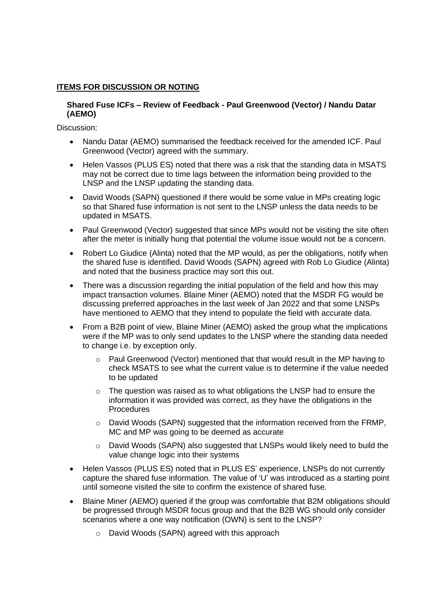# **ITEMS FOR DISCUSSION OR NOTING**

### **Shared Fuse ICFs – Review of Feedback - Paul Greenwood (Vector) / Nandu Datar (AEMO)**

Discussion:

- Nandu Datar (AEMO) summarised the feedback received for the amended ICF. Paul Greenwood (Vector) agreed with the summary.
- Helen Vassos (PLUS ES) noted that there was a risk that the standing data in MSATS may not be correct due to time lags between the information being provided to the LNSP and the LNSP updating the standing data.
- David Woods (SAPN) questioned if there would be some value in MPs creating logic so that Shared fuse information is not sent to the LNSP unless the data needs to be updated in MSATS.
- Paul Greenwood (Vector) suggested that since MPs would not be visiting the site often after the meter is initially hung that potential the volume issue would not be a concern.
- Robert Lo Giudice (Alinta) noted that the MP would, as per the obligations, notify when the shared fuse is identified. David Woods (SAPN) agreed with Rob Lo Giudice (Alinta) and noted that the business practice may sort this out.
- There was a discussion regarding the initial population of the field and how this may impact transaction volumes. Blaine Miner (AEMO) noted that the MSDR FG would be discussing preferred approaches in the last week of Jan 2022 and that some LNSPs have mentioned to AEMO that they intend to populate the field with accurate data.
- From a B2B point of view, Blaine Miner (AEMO) asked the group what the implications were if the MP was to only send updates to the LNSP where the standing data needed to change i.e. by exception only.
	- o Paul Greenwood (Vector) mentioned that that would result in the MP having to check MSATS to see what the current value is to determine if the value needed to be updated
	- $\circ$  The question was raised as to what obligations the LNSP had to ensure the information it was provided was correct, as they have the obligations in the Procedures
	- o David Woods (SAPN) suggested that the information received from the FRMP, MC and MP was going to be deemed as accurate
	- $\circ$  David Woods (SAPN) also suggested that LNSPs would likely need to build the value change logic into their systems
- Helen Vassos (PLUS ES) noted that in PLUS ES' experience, LNSPs do not currently capture the shared fuse information. The value of 'U' was introduced as a starting point until someone visited the site to confirm the existence of shared fuse.
- Blaine Miner (AEMO) queried if the group was comfortable that B2M obligations should be progressed through MSDR focus group and that the B2B WG should only consider scenarios where a one way notification (OWN) is sent to the LNSP?
	- o David Woods (SAPN) agreed with this approach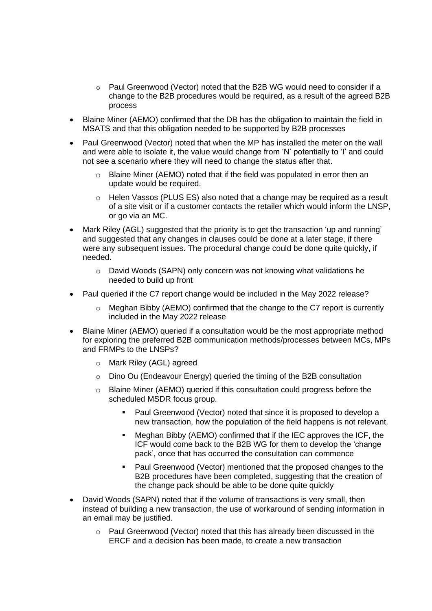- $\circ$  Paul Greenwood (Vector) noted that the B2B WG would need to consider if a change to the B2B procedures would be required, as a result of the agreed B2B process
- Blaine Miner (AEMO) confirmed that the DB has the obligation to maintain the field in MSATS and that this obligation needed to be supported by B2B processes
- Paul Greenwood (Vector) noted that when the MP has installed the meter on the wall and were able to isolate it, the value would change from 'N' potentially to 'I' and could not see a scenario where they will need to change the status after that.
	- $\circ$  Blaine Miner (AEMO) noted that if the field was populated in error then an update would be required.
	- o Helen Vassos (PLUS ES) also noted that a change may be required as a result of a site visit or if a customer contacts the retailer which would inform the LNSP, or go via an MC.
- Mark Riley (AGL) suggested that the priority is to get the transaction 'up and running' and suggested that any changes in clauses could be done at a later stage, if there were any subsequent issues. The procedural change could be done quite quickly, if needed.
	- $\circ$  David Woods (SAPN) only concern was not knowing what validations he needed to build up front
- Paul queried if the C7 report change would be included in the May 2022 release?
	- o Meghan Bibby (AEMO) confirmed that the change to the C7 report is currently included in the May 2022 release
- Blaine Miner (AEMO) queried if a consultation would be the most appropriate method for exploring the preferred B2B communication methods/processes between MCs, MPs and FRMPs to the LNSPs?
	- o Mark Riley (AGL) agreed
	- $\circ$  Dino Ou (Endeavour Energy) queried the timing of the B2B consultation
	- o Blaine Miner (AEMO) queried if this consultation could progress before the scheduled MSDR focus group.
		- Paul Greenwood (Vector) noted that since it is proposed to develop a new transaction, how the population of the field happens is not relevant.
		- Meghan Bibby (AEMO) confirmed that if the IEC approves the ICF, the ICF would come back to the B2B WG for them to develop the 'change pack', once that has occurred the consultation can commence
		- Paul Greenwood (Vector) mentioned that the proposed changes to the B2B procedures have been completed, suggesting that the creation of the change pack should be able to be done quite quickly
- David Woods (SAPN) noted that if the volume of transactions is very small, then instead of building a new transaction, the use of workaround of sending information in an email may be justified.
	- Paul Greenwood (Vector) noted that this has already been discussed in the ERCF and a decision has been made, to create a new transaction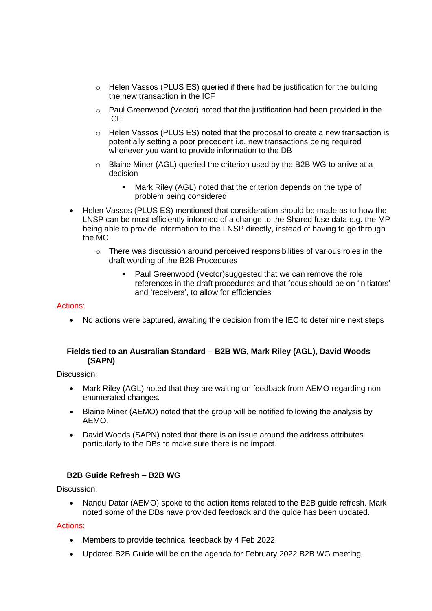- $\circ$  Helen Vassos (PLUS ES) queried if there had be justification for the building the new transaction in the ICF
- $\circ$  Paul Greenwood (Vector) noted that the justification had been provided in the ICF
- $\circ$  Helen Vassos (PLUS ES) noted that the proposal to create a new transaction is potentially setting a poor precedent i.e. new transactions being required whenever you want to provide information to the DB
- $\circ$  Blaine Miner (AGL) queried the criterion used by the B2B WG to arrive at a decision
	- Mark Riley (AGL) noted that the criterion depends on the type of problem being considered
- Helen Vassos (PLUS ES) mentioned that consideration should be made as to how the LNSP can be most efficiently informed of a change to the Shared fuse data e.g. the MP being able to provide information to the LNSP directly, instead of having to go through the MC
	- $\circ$  There was discussion around perceived responsibilities of various roles in the draft wording of the B2B Procedures
		- Paul Greenwood (Vector) suggested that we can remove the role references in the draft procedures and that focus should be on 'initiators' and 'receivers', to allow for efficiencies

# Actions:

• No actions were captured, awaiting the decision from the IEC to determine next steps

# **Fields tied to an Australian Standard – B2B WG, Mark Riley (AGL), David Woods (SAPN)**

Discussion:

- Mark Riley (AGL) noted that they are waiting on feedback from AEMO regarding non enumerated changes.
- Blaine Miner (AEMO) noted that the group will be notified following the analysis by AEMO.
- David Woods (SAPN) noted that there is an issue around the address attributes particularly to the DBs to make sure there is no impact.

# **B2B Guide Refresh – B2B WG**

Discussion:

• Nandu Datar (AEMO) spoke to the action items related to the B2B guide refresh. Mark noted some of the DBs have provided feedback and the guide has been updated.

Actions:

- Members to provide technical feedback by 4 Feb 2022.
- Updated B2B Guide will be on the agenda for February 2022 B2B WG meeting.